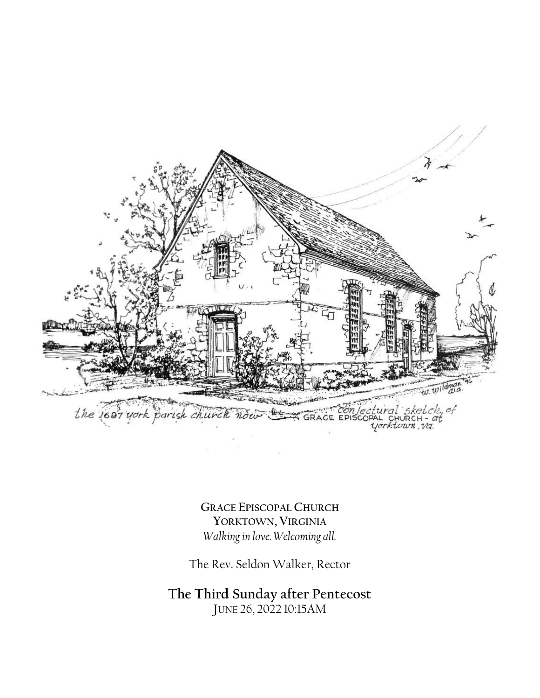

**GRACE EPISCOPAL CHURCH YORKTOWN, VIRGINIA** *Walking in love. Welcoming all.*

The Rev. Seldon Walker, Rector

**The Third Sunday after Pentecost** JUNE 26, 2022 10:15AM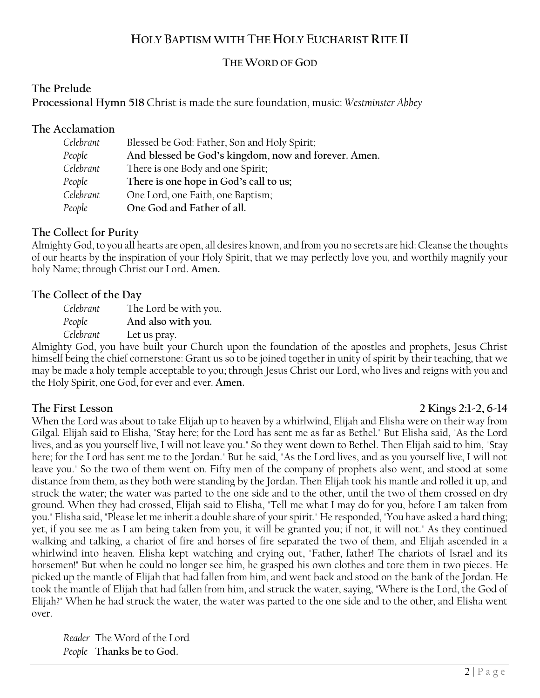# **HOLY BAPTISM WITH THE HOLY EUCHARIST RITE II**

## **THE WORD OF GOD**

#### **The Prelude Processional Hymn 518** Christ is made the sure foundation, music: *Westminster Abbey*

## **The Acclamation**

| Celebrant | Blessed be God: Father, Son and Holy Spirit;         |
|-----------|------------------------------------------------------|
| People    | And blessed be God's kingdom, now and forever. Amen. |
| Celebrant | There is one Body and one Spirit;                    |
| People    | There is one hope in God's call to us;               |
| Celebrant | One Lord, one Faith, one Baptism;                    |
| People    | One God and Father of all.                           |

## **The Collect for Purity**

Almighty God, to you all hearts are open, all desires known, and from you no secrets are hid: Cleanse the thoughts of our hearts by the inspiration of your Holy Spirit, that we may perfectly love you, and worthily magnify your holy Name; through Christ our Lord. **Amen.**

## **The Collect of the Day**

*Celebrant* The Lord be with you. *People* **And also with you.**  *Celebrant* Let us pray.

Almighty God, you have built your Church upon the foundation of the apostles and prophets, Jesus Christ himself being the chief cornerstone: Grant us so to be joined together in unity of spirit by their teaching, that we may be made a holy temple acceptable to you; through Jesus Christ our Lord, who lives and reigns with you and the Holy Spirit, one God, for ever and ever. **Amen.**

## **The First Lesson 2 Kings 2:1-2, 6-14**

When the Lord was about to take Elijah up to heaven by a whirlwind, Elijah and Elisha were on their way from Gilgal. Elijah said to Elisha, "Stay here; for the Lord has sent me as far as Bethel." But Elisha said, "As the Lord lives, and as you yourself live, I will not leave you." So they went down to Bethel. Then Elijah said to him, "Stay here; for the Lord has sent me to the Jordan." But he said, "As the Lord lives, and as you yourself live, I will not leave you." So the two of them went on. Fifty men of the company of prophets also went, and stood at some distance from them, as they both were standing by the Jordan. Then Elijah took his mantle and rolled it up, and struck the water; the water was parted to the one side and to the other, until the two of them crossed on dry ground. When they had crossed, Elijah said to Elisha, "Tell me what I may do for you, before I am taken from you." Elisha said, "Please let me inherit a double share of your spirit." He responded, "You have asked a hard thing; yet, if you see me as I am being taken from you, it will be granted you; if not, it will not." As they continued walking and talking, a chariot of fire and horses of fire separated the two of them, and Elijah ascended in a whirlwind into heaven. Elisha kept watching and crying out, "Father, father! The chariots of Israel and its horsemen!" But when he could no longer see him, he grasped his own clothes and tore them in two pieces. He picked up the mantle of Elijah that had fallen from him, and went back and stood on the bank of the Jordan. He took the mantle of Elijah that had fallen from him, and struck the water, saying, "Where is the Lord, the God of Elijah?" When he had struck the water, the water was parted to the one side and to the other, and Elisha went over.

*Reader* The Word of the Lord *People* **Thanks be to God.**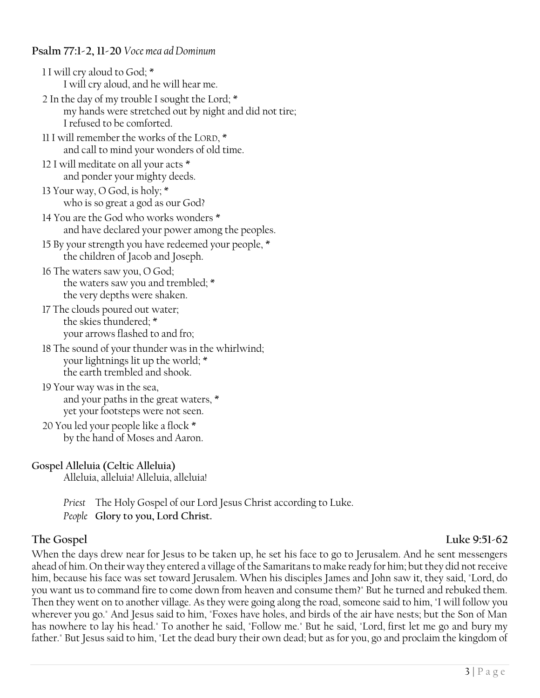**Psalm 77:1-2, 11-20** *Voce mea ad Dominum*

- 1 I will cry aloud to God; \* I will cry aloud, and he will hear me.
- 2 In the day of my trouble I sought the Lord; \* my hands were stretched out by night and did not tire; I refused to be comforted.
- 11 I will remember the works of the LORD, \* and call to mind your wonders of old time.
- 12 I will meditate on all your acts \* and ponder your mighty deeds.
- 13 Your way, O God, is holy; \* who is so great a god as our God?
- 14 You are the God who works wonders \* and have declared your power among the peoples.
- 15 By your strength you have redeemed your people, \* the children of Jacob and Joseph.
- 16 The waters saw you, O God; the waters saw you and trembled; \* the very depths were shaken.
- 17 The clouds poured out water; the skies thundered; \* your arrows flashed to and fro;
- 18 The sound of your thunder was in the whirlwind; your lightnings lit up the world; \* the earth trembled and shook.
- 19 Your way was in the sea, and your paths in the great waters, \* yet your footsteps were not seen.
- 20 You led your people like a flock \* by the hand of Moses and Aaron.

## **Gospel Alleluia (Celtic Alleluia)**

Alleluia, alleluia! Alleluia, alleluia!

*Priest* The Holy Gospel of our Lord Jesus Christ according to Luke. *People* **Glory to you, Lord Christ.**

When the days drew near for Jesus to be taken up, he set his face to go to Jerusalem. And he sent messengers ahead of him. On their way they entered a village of the Samaritans to make ready for him; but they did not receive him, because his face was set toward Jerusalem. When his disciples James and John saw it, they said, "Lord, do you want us to command fire to come down from heaven and consume them?" But he turned and rebuked them. Then they went on to another village. As they were going along the road, someone said to him, "I will follow you wherever you go." And Jesus said to him, "Foxes have holes, and birds of the air have nests; but the Son of Man has nowhere to lay his head." To another he said, "Follow me." But he said, "Lord, first let me go and bury my father." But Jesus said to him, "Let the dead bury their own dead; but as for you, go and proclaim the kingdom of

## **The Gospel Luke 9:51-62**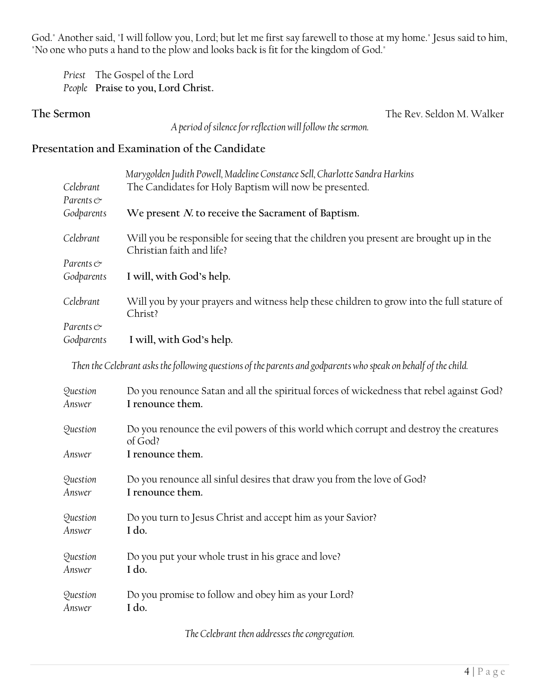God." Another said, "I will follow you, Lord; but let me first say farewell to those at my home." Jesus said to him, "No one who puts a hand to the plow and looks back is fit for the kingdom of God."

*Priest* The Gospel of the Lord *People* **Praise to you, Lord Christ.**

**The Sermon** The Rev. Seldon M. Walker

*A period of silence for reflection will follow the sermon.* 

## **Presentation and Examination of the Candidate**

| Celebrant<br>Parents $\infty$            | Marygolden Judith Powell, Madeline Constance Sell, Charlotte Sandra Harkins<br>The Candidates for Holy Baptism will now be presented. |
|------------------------------------------|---------------------------------------------------------------------------------------------------------------------------------------|
| Godparents                               | We present N. to receive the Sacrament of Baptism.                                                                                    |
| Celebrant                                | Will you be responsible for seeing that the children you present are brought up in the<br>Christian faith and life?                   |
| Parents $\infty$<br>Godparents           | I will, with God's help.                                                                                                              |
| Celebrant                                | Will you by your prayers and witness help these children to grow into the full stature of<br>Christ?                                  |
| Parents $\mathfrak{\circ}$<br>Godparents | I will, with God's help.                                                                                                              |

*Then the Celebrant asks the following questions of the parents and godparents who speak on behalf of the child.*

| Question | Do you renounce Satan and all the spiritual forces of wickedness that rebel against God?         |
|----------|--------------------------------------------------------------------------------------------------|
| Answer   | I renounce them.                                                                                 |
| Question | Do you renounce the evil powers of this world which corrupt and destroy the creatures<br>of God? |
| Answer   | I renounce them.                                                                                 |
| Question | Do you renounce all sinful desires that draw you from the love of God?                           |
| Answer   | I renounce them.                                                                                 |
| Question | Do you turn to Jesus Christ and accept him as your Savior?                                       |
| Answer   | I do.                                                                                            |
| Question | Do you put your whole trust in his grace and love?                                               |
| Answer   | I do.                                                                                            |
| Question | Do you promise to follow and obey him as your Lord?                                              |
| Answer   | I do.                                                                                            |

*The Celebrant then addresses the congregation.*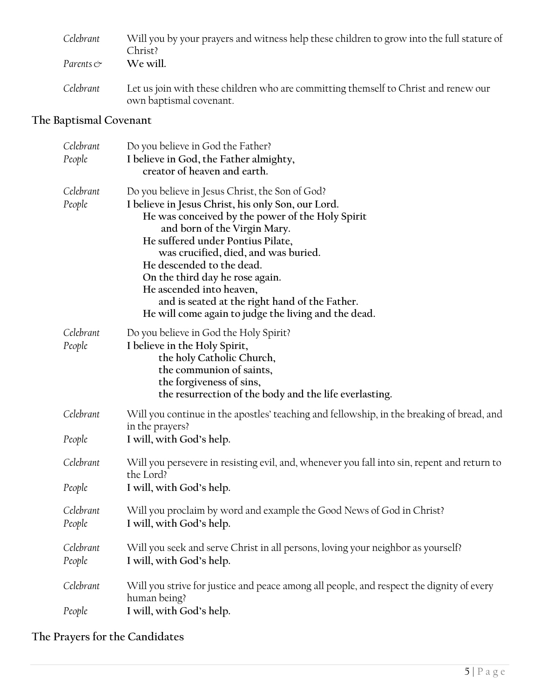| Celebrant<br>Parents & | Will you by your prayers and witness help these children to grow into the full stature of<br>Christ?<br>We will. |
|------------------------|------------------------------------------------------------------------------------------------------------------|
| Celebrant              | Let us join with these children who are committing themself to Christ and renew our<br>own baptismal covenant.   |

# **The Baptismal Covenant**

| Celebrant           | Do you believe in God the Father?                                                                                                                                                                                                                                                                                                                                                                                                                                            |
|---------------------|------------------------------------------------------------------------------------------------------------------------------------------------------------------------------------------------------------------------------------------------------------------------------------------------------------------------------------------------------------------------------------------------------------------------------------------------------------------------------|
| People              | I believe in God, the Father almighty,                                                                                                                                                                                                                                                                                                                                                                                                                                       |
|                     | creator of heaven and earth.                                                                                                                                                                                                                                                                                                                                                                                                                                                 |
| Celebrant<br>People | Do you believe in Jesus Christ, the Son of God?<br>I believe in Jesus Christ, his only Son, our Lord.<br>He was conceived by the power of the Holy Spirit<br>and born of the Virgin Mary.<br>He suffered under Pontius Pilate,<br>was crucified, died, and was buried.<br>He descended to the dead.<br>On the third day he rose again.<br>He ascended into heaven,<br>and is seated at the right hand of the Father.<br>He will come again to judge the living and the dead. |
| Celebrant<br>People | Do you believe in God the Holy Spirit?<br>I believe in the Holy Spirit,<br>the holy Catholic Church,<br>the communion of saints,<br>the forgiveness of sins,<br>the resurrection of the body and the life everlasting.                                                                                                                                                                                                                                                       |
| Celebrant           | Will you continue in the apostles' teaching and fellowship, in the breaking of bread, and<br>in the prayers?                                                                                                                                                                                                                                                                                                                                                                 |
| People              | I will, with God's help.                                                                                                                                                                                                                                                                                                                                                                                                                                                     |
| Celebrant           | Will you persevere in resisting evil, and, whenever you fall into sin, repent and return to<br>the Lord?                                                                                                                                                                                                                                                                                                                                                                     |
| People              | I will, with God's help.                                                                                                                                                                                                                                                                                                                                                                                                                                                     |
| Celebrant<br>People | Will you proclaim by word and example the Good News of God in Christ?<br>I will, with God's help.                                                                                                                                                                                                                                                                                                                                                                            |
| Celebrant<br>People | Will you seek and serve Christ in all persons, loving your neighbor as yourself?<br>I will, with God's help.                                                                                                                                                                                                                                                                                                                                                                 |
| Celebrant<br>People | Will you strive for justice and peace among all people, and respect the dignity of every<br>human being?<br>I will, with God's help.                                                                                                                                                                                                                                                                                                                                         |

# **The Prayers for the Candidates**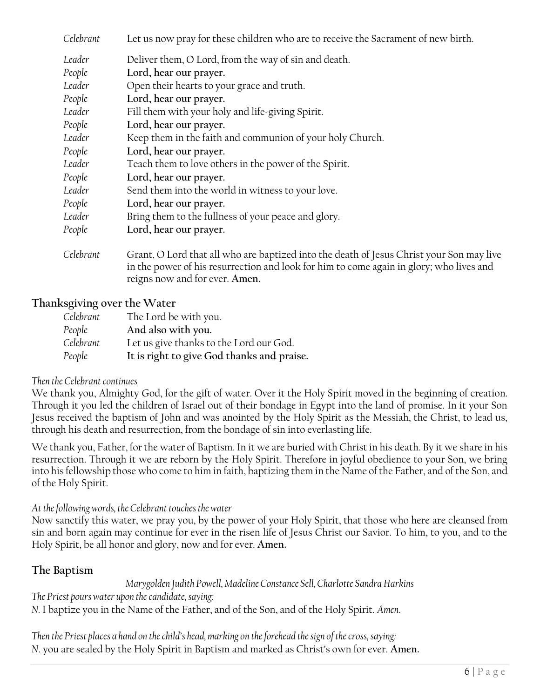| Celebrant | Let us now pray for these children who are to receive the Sacrament of new birth.                                                                                                                                     |
|-----------|-----------------------------------------------------------------------------------------------------------------------------------------------------------------------------------------------------------------------|
| Leader    | Deliver them, O Lord, from the way of sin and death.                                                                                                                                                                  |
| People    | Lord, hear our prayer.                                                                                                                                                                                                |
| Leader    | Open their hearts to your grace and truth.                                                                                                                                                                            |
| People    | Lord, hear our prayer.                                                                                                                                                                                                |
| Leader    | Fill them with your holy and life-giving Spirit.                                                                                                                                                                      |
| People    | Lord, hear our prayer.                                                                                                                                                                                                |
| Leader    | Keep them in the faith and communion of your holy Church.                                                                                                                                                             |
| People    | Lord, hear our prayer.                                                                                                                                                                                                |
| Leader    | Teach them to love others in the power of the Spirit.                                                                                                                                                                 |
| People    | Lord, hear our prayer.                                                                                                                                                                                                |
| Leader    | Send them into the world in witness to your love.                                                                                                                                                                     |
| People    | Lord, hear our prayer.                                                                                                                                                                                                |
| Leader    | Bring them to the fullness of your peace and glory.                                                                                                                                                                   |
| People    | Lord, hear our prayer.                                                                                                                                                                                                |
| Celebrant | Grant, O Lord that all who are baptized into the death of Jesus Christ your Son may live<br>in the power of his resurrection and look for him to come again in glory; who lives and<br>reigns now and for ever. Amen. |

## **Thanksgiving over the Water**

| Celebrant | The Lord be with you.                      |
|-----------|--------------------------------------------|
| People    | And also with you.                         |
| Celebrant | Let us give thanks to the Lord our God.    |
| People    | It is right to give God thanks and praise. |

## *Then the Celebrant continues*

We thank you, Almighty God, for the gift of water. Over it the Holy Spirit moved in the beginning of creation. Through it you led the children of Israel out of their bondage in Egypt into the land of promise. In it your Son Jesus received the baptism of John and was anointed by the Holy Spirit as the Messiah, the Christ, to lead us, through his death and resurrection, from the bondage of sin into everlasting life.

We thank you, Father, for the water of Baptism. In it we are buried with Christ in his death. By it we share in his resurrection. Through it we are reborn by the Holy Spirit. Therefore in joyful obedience to your Son, we bring into his fellowship those who come to him in faith, baptizing them in the Name of the Father, and of the Son, and of the Holy Spirit.

## *At the following words, the Celebrant touches the water*

Now sanctify this water, we pray you, by the power of your Holy Spirit, that those who here are cleansed from sin and born again may continue for ever in the risen life of Jesus Christ our Savior. To him, to you, and to the Holy Spirit, be all honor and glory, now and for ever. **Amen.**

## **The Baptism**

*Marygolden Judith Powell, Madeline Constance Sell, Charlotte Sandra Harkins*

*The Priest pours water upon the candidate, saying:*

*N.* I baptize you in the Name of the Father, and of the Son, and of the Holy Spirit. *Amen*.

*Then the Priest places a hand on the child's head, marking on the forehead the sign of the cross, saying: N*. you are sealed by the Holy Spirit in Baptism and marked as Christ's own for ever. **Amen.**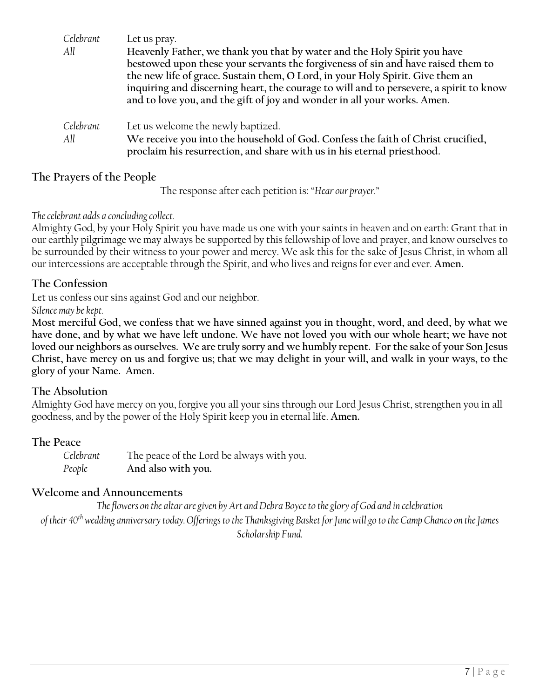| Celebrant<br>All | Let us pray.<br>Heavenly Father, we thank you that by water and the Holy Spirit you have<br>bestowed upon these your servants the forgiveness of sin and have raised them to<br>the new life of grace. Sustain them, O Lord, in your Holy Spirit. Give them an<br>inquiring and discerning heart, the courage to will and to persevere, a spirit to know<br>and to love you, and the gift of joy and wonder in all your works. Amen. |
|------------------|--------------------------------------------------------------------------------------------------------------------------------------------------------------------------------------------------------------------------------------------------------------------------------------------------------------------------------------------------------------------------------------------------------------------------------------|
| Celebrant<br>All | Let us welcome the newly baptized.<br>We receive you into the household of God. Confess the faith of Christ crucified,<br>proclaim his resurrection, and share with us in his eternal priesthood.                                                                                                                                                                                                                                    |

## **The Prayers of the People**

The response after each petition is: "*Hear our prayer.*"

#### *The celebrant adds a concluding collect.*

Almighty God, by your Holy Spirit you have made us one with your saints in heaven and on earth: Grant that in our earthly pilgrimage we may always be supported by this fellowship of love and prayer, and know ourselves to be surrounded by their witness to your power and mercy. We ask this for the sake of Jesus Christ, in whom all our intercessions are acceptable through the Spirit, and who lives and reigns for ever and ever. **Amen.**

## **The Confession**

Let us confess our sins against God and our neighbor.

*Silence may be kept.*

**Most merciful God, we confess that we have sinned against you in thought, word, and deed, by what we have done, and by what we have left undone. We have not loved you with our whole heart; we have not loved our neighbors as ourselves. We are truly sorry and we humbly repent. For the sake of your Son Jesus Christ, have mercy on us and forgive us; that we may delight in your will, and walk in your ways, to the glory of your Name. Amen.**

## **The Absolution**

Almighty God have mercy on you, forgive you all your sins through our Lord Jesus Christ, strengthen you in all goodness, and by the power of the Holy Spirit keep you in eternal life. **Amen.**

## **The Peace**

| Celebrant | The peace of the Lord be always with you. |
|-----------|-------------------------------------------|
| People    | And also with you.                        |

## **Welcome and Announcements**

*The flowers on the altar are given by Art and Debra Boyce to the glory of God and in celebration of their 40th wedding anniversary today. Offerings to the Thanksgiving Basket for June will go to the Camp Chanco on the James Scholarship Fund.*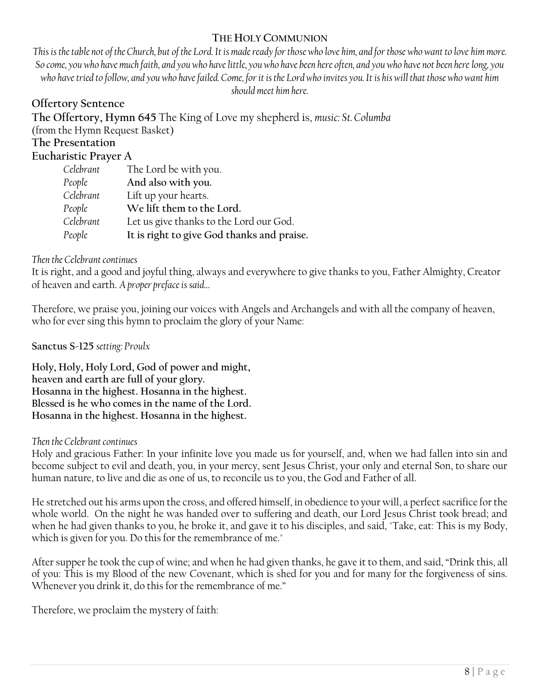#### **THE HOLY COMMUNION**

*This is the table not of the Church, but of the Lord. It is made ready for those who love him, and for those who want to love him more. So come, you who have much faith, and you who have little, you who have been here often, and you who have not been here long, you who have tried to follow, and you who have failed. Come, for it is the Lord who invites you. It is his will that those who want him should meet him here.* 

## **Offertory Sentence**

**The Offertory, Hymn 645** The King of Love my shepherd is, *music: St. Columba* (from the Hymn Request Basket) **The Presentation**

#### **Eucharistic Prayer A**

| Celebrant | The Lord be with you.                      |
|-----------|--------------------------------------------|
| People    | And also with you.                         |
| Celebrant | Lift up your hearts.                       |
| People    | We lift them to the Lord.                  |
| Celebrant | Let us give thanks to the Lord our God.    |
| People    | It is right to give God thanks and praise. |

#### *Then the Celebrant continues*

It is right, and a good and joyful thing, always and everywhere to give thanks to you, Father Almighty, Creator of heaven and earth. *A proper preface is said…*

Therefore, we praise you, joining our voices with Angels and Archangels and with all the company of heaven, who for ever sing this hymn to proclaim the glory of your Name:

**Sanctus S-125** *setting: Proulx*

**Holy, Holy, Holy Lord, God of power and might, heaven and earth are full of your glory. Hosanna in the highest. Hosanna in the highest. Blessed is he who comes in the name of the Lord. Hosanna in the highest. Hosanna in the highest.**

#### *Then the Celebrant continues*

Holy and gracious Father: In your infinite love you made us for yourself, and, when we had fallen into sin and become subject to evil and death, you, in your mercy, sent Jesus Christ, your only and eternal Son, to share our human nature, to live and die as one of us, to reconcile us to you, the God and Father of all.

He stretched out his arms upon the cross, and offered himself, in obedience to your will, a perfect sacrifice for the whole world. On the night he was handed over to suffering and death, our Lord Jesus Christ took bread; and when he had given thanks to you, he broke it, and gave it to his disciples, and said, "Take, eat: This is my Body, which is given for you. Do this for the remembrance of me."

After supper he took the cup of wine; and when he had given thanks, he gave it to them, and said, "Drink this, all of you: This is my Blood of the new Covenant, which is shed for you and for many for the forgiveness of sins. Whenever you drink it, do this for the remembrance of me."

Therefore, we proclaim the mystery of faith: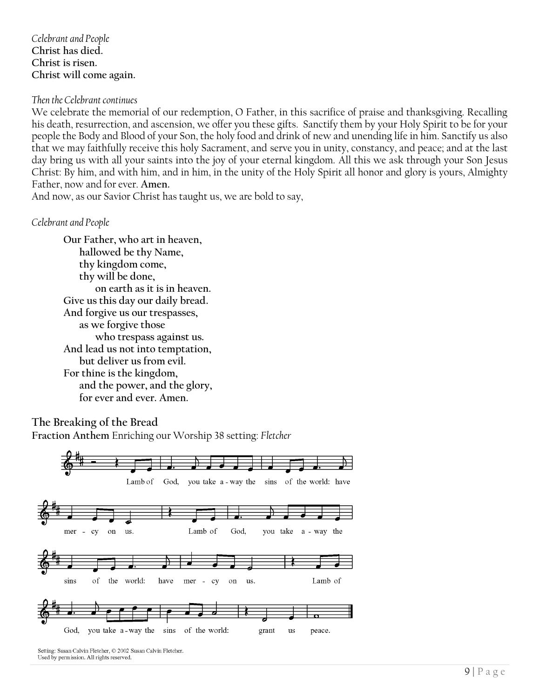*Celebrant and People* **Christ has died. Christ is risen. Christ will come again.**

#### *Then the Celebrant continues*

We celebrate the memorial of our redemption, O Father, in this sacrifice of praise and thanksgiving. Recalling his death, resurrection, and ascension, we offer you these gifts. Sanctify them by your Holy Spirit to be for your people the Body and Blood of your Son, the holy food and drink of new and unending life in him. Sanctify us also that we may faithfully receive this holy Sacrament, and serve you in unity, constancy, and peace; and at the last day bring us with all your saints into the joy of your eternal kingdom. All this we ask through your Son Jesus Christ: By him, and with him, and in him, in the unity of the Holy Spirit all honor and glory is yours, Almighty Father, now and for ever. **Amen.**

And now, as our Savior Christ has taught us, we are bold to say,

#### *Celebrant and People*

**Our Father, who art in heaven, hallowed be thy Name, thy kingdom come, thy will be done, on earth as it is in heaven. Give us this day our daily bread. And forgive us our trespasses, as we forgive those who trespass against us. And lead us not into temptation, but deliver us from evil. For thine is the kingdom, and the power, and the glory, for ever and ever. Amen.**

**The Breaking of the Bread**

**Fraction Anthem** Enriching our Worship 38 setting: *Fletcher*



Setting: Susan Calvin Fletcher, © 2002 Susan Calvin Fletcher. Used by permission. All rights reserved.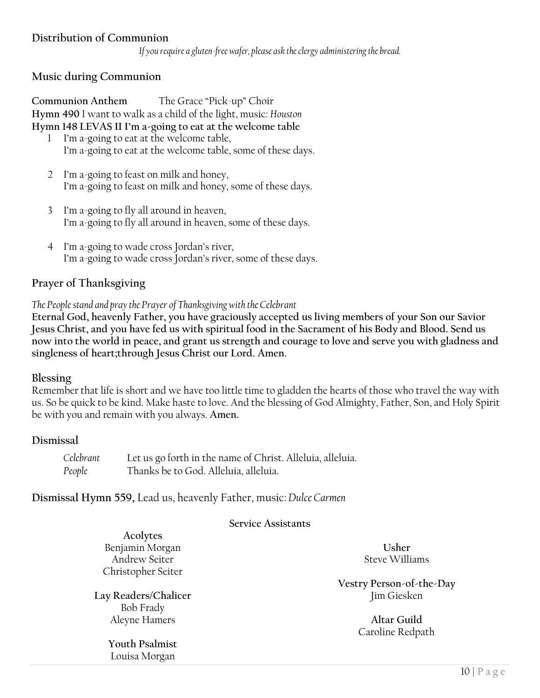## **Distribution of Communion**

*If you require a gluten-free wafer, please ask the clergy administering the bread.*

#### **Music during Communion**

**Communion Anthem** The Grace "Pick-up" Choir **Hymn 490** I want to walk as a child of the light, music: *Houston* **Hymn 148 LEVAS II I'm a-going to eat at the welcome table**

- 1 I'm a-going to eat at the welcome table, I'm a-going to eat at the welcome table, some of these days.
- 2 I'm a-going to feast on milk and honey, I'm a-going to feast on milk and honey, some of these days.
- 3 I'm a-going to fly all around in heaven, I'm a-going to fly all around in heaven, some of these days.
- 4 I'm a-going to wade cross Jordan's river, I'm a-going to wade cross Jordan's river, some of these days.

#### **Prayer of Thanksgiving**

#### *The People stand and pray the Prayer of Thanksgiving with the Celebrant*

**Eternal God, heavenly Father, you have graciously accepted us living members of your Son our Savior Jesus Christ, and you have fed us with spiritual food in the Sacrament of his Body and Blood. Send us now into the world in peace, and grant us strength and courage to love and serve you with gladness and**  singleness of heart; through Jesus Christ our Lord. Amen.

#### **Blessing**

Remember that life is short and we have too little time to gladden the hearts of those who travel the way with us. So be quick to be kind. Make haste to love. And the blessing of God Almighty, Father, Son, and Holy Spirit be with you and remain with you always. **Amen.**

#### **Dismissal**

| Celebrant | Let us go forth in the name of Christ. Alleluia, alleluia. |
|-----------|------------------------------------------------------------|
| People    | Thanks be to God. Alleluia, alleluia.                      |

**Dismissal Hymn 559,** Lead us, heavenly Father, music:*Dulce Carmen*

#### **Service Assistants**

**Acolytes** Benjamin Morgan Andrew Seiter Christopher Seiter

**Lay Readers/Chalicer** Bob Frady Aleyne Hamers

> **Youth Psalmist** Louisa Morgan

**Usher** Steve Williams

**Vestry Person-of-the-Day** Jim Giesken

> **Altar Guild** Caroline Redpath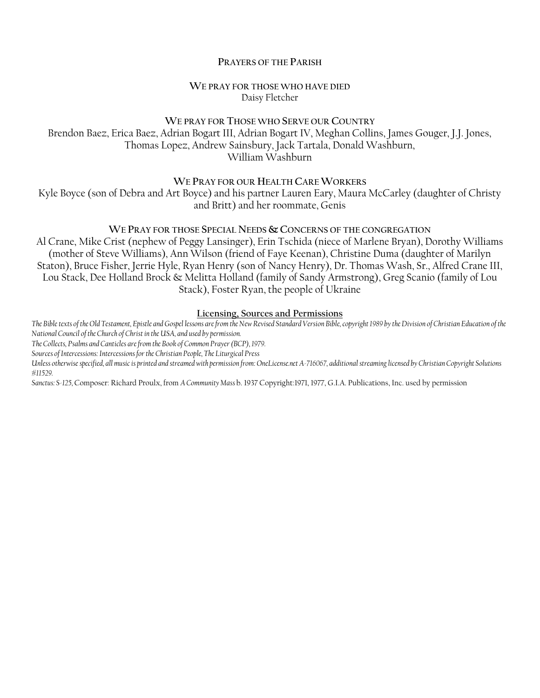#### **PRAYERS OF THE PARISH**

#### **WE PRAY FOR THOSE WHO HAVE DIED** Daisy Fletcher

#### **WE PRAY FOR THOSE WHO SERVE OUR COUNTRY** Brendon Baez, Erica Baez, Adrian Bogart III, Adrian Bogart IV, Meghan Collins, James Gouger, J.J. Jones, Thomas Lopez, Andrew Sainsbury, Jack Tartala, Donald Washburn, William Washburn

**WE PRAY FOR OUR HEALTH CARE WORKERS** 

Kyle Boyce (son of Debra and Art Boyce) and his partner Lauren Eary, Maura McCarley (daughter of Christy and Britt) and her roommate, Genis

#### **WE PRAY FOR THOSE SPECIAL NEEDS & CONCERNS OF THE CONGREGATION**

Al Crane, Mike Crist (nephew of Peggy Lansinger), Erin Tschida (niece of Marlene Bryan), Dorothy Williams (mother of Steve Williams), Ann Wilson (friend of Faye Keenan), Christine Duma (daughter of Marilyn Staton), Bruce Fisher, Jerrie Hyle, Ryan Henry (son of Nancy Henry), Dr. Thomas Wash, Sr., Alfred Crane III, Lou Stack, Dee Holland Brock & Melitta Holland (family of Sandy Armstrong), Greg Scanio (family of Lou Stack), Foster Ryan, the people of Ukraine

#### **Licensing, Sources and Permissions**

*The Bible texts of the Old Testament, Epistle and Gospel lessons are from the New Revised Standard Version Bible, copyright 1989 by the Division of Christian Education of the National Council of the Church of Christ in the USA, and used by permission.*

*The Collects, Psalms and Canticles are from the Book of Common Prayer (BCP), 1979.*

*Sources of Intercessions: Intercessions for the Christian People, The Liturgical Press*

*Unless otherwise specified, all music is printed and streamed with permission from: OneLicense.net A-716067, additional streaming licensed by Christian Copyright Solutions #11529.*

*Sanctus: S-125,* Composer: Richard Proulx, from *A Community Mass* b. 1937 Copyright:1971, 1977, G.I.A. Publications, Inc. used by permission